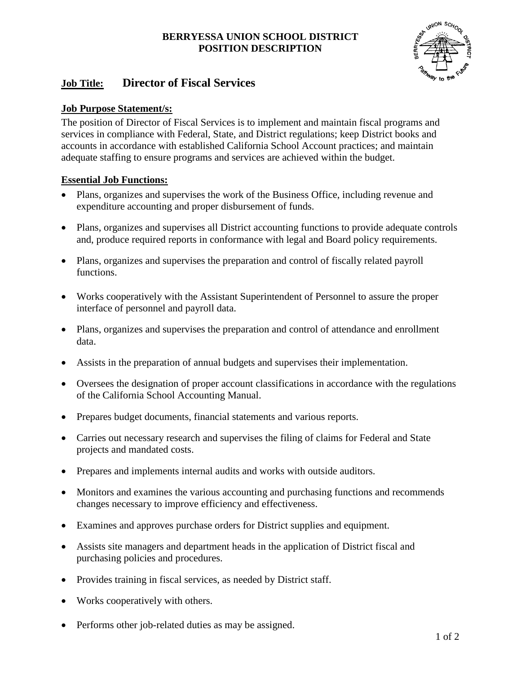## **BERRYESSA UNION SCHOOL DISTRICT POSITION DESCRIPTION**



# **Job Title: Director of Fiscal Services**

# **Job Purpose Statement/s:**

The position of Director of Fiscal Services is to implement and maintain fiscal programs and services in compliance with Federal, State, and District regulations; keep District books and accounts in accordance with established California School Account practices; and maintain adequate staffing to ensure programs and services are achieved within the budget.

# **Essential Job Functions:**

- Plans, organizes and supervises the work of the Business Office, including revenue and expenditure accounting and proper disbursement of funds.
- Plans, organizes and supervises all District accounting functions to provide adequate controls and, produce required reports in conformance with legal and Board policy requirements.
- Plans, organizes and supervises the preparation and control of fiscally related payroll functions.
- Works cooperatively with the Assistant Superintendent of Personnel to assure the proper interface of personnel and payroll data.
- Plans, organizes and supervises the preparation and control of attendance and enrollment data.
- Assists in the preparation of annual budgets and supervises their implementation.
- Oversees the designation of proper account classifications in accordance with the regulations of the California School Accounting Manual.
- Prepares budget documents, financial statements and various reports.
- Carries out necessary research and supervises the filing of claims for Federal and State projects and mandated costs.
- Prepares and implements internal audits and works with outside auditors.
- Monitors and examines the various accounting and purchasing functions and recommends changes necessary to improve efficiency and effectiveness.
- Examines and approves purchase orders for District supplies and equipment.
- Assists site managers and department heads in the application of District fiscal and purchasing policies and procedures.
- Provides training in fiscal services, as needed by District staff.
- Works cooperatively with others.
- Performs other job-related duties as may be assigned.